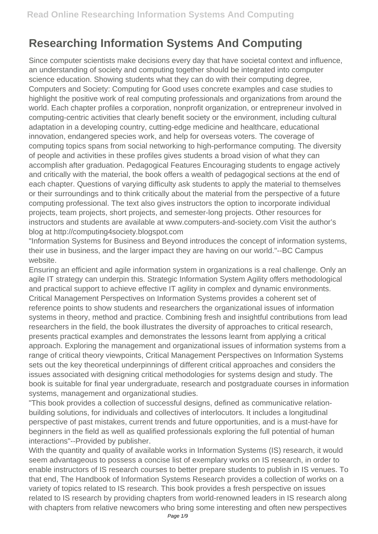## **Researching Information Systems And Computing**

Since computer scientists make decisions every day that have societal context and influence, an understanding of society and computing together should be integrated into computer science education. Showing students what they can do with their computing degree, Computers and Society: Computing for Good uses concrete examples and case studies to highlight the positive work of real computing professionals and organizations from around the world. Each chapter profiles a corporation, nonprofit organization, or entrepreneur involved in computing-centric activities that clearly benefit society or the environment, including cultural adaptation in a developing country, cutting-edge medicine and healthcare, educational innovation, endangered species work, and help for overseas voters. The coverage of computing topics spans from social networking to high-performance computing. The diversity of people and activities in these profiles gives students a broad vision of what they can accomplish after graduation. Pedagogical Features Encouraging students to engage actively and critically with the material, the book offers a wealth of pedagogical sections at the end of each chapter. Questions of varying difficulty ask students to apply the material to themselves or their surroundings and to think critically about the material from the perspective of a future computing professional. The text also gives instructors the option to incorporate individual projects, team projects, short projects, and semester-long projects. Other resources for instructors and students are available at www.computers-and-society.com Visit the author's blog at http://computing4society.blogspot.com

"Information Systems for Business and Beyond introduces the concept of information systems, their use in business, and the larger impact they are having on our world."--BC Campus website.

Ensuring an efficient and agile information system in organizations is a real challenge. Only an agile IT strategy can underpin this. Strategic Information System Agility offers methodological and practical support to achieve effective IT agility in complex and dynamic environments. Critical Management Perspectives on Information Systems provides a coherent set of reference points to show students and researchers the organizational issues of information systems in theory, method and practice. Combining fresh and insightful contributions from lead researchers in the field, the book illustrates the diversity of approaches to critical research, presents practical examples and demonstrates the lessons learnt from applying a critical approach. Exploring the management and organizational issues of information systems from a range of critical theory viewpoints, Critical Management Perspectives on Information Systems sets out the key theoretical underpinnings of different critical approaches and considers the issues associated with designing critical methodologies for systems design and study. The book is suitable for final year undergraduate, research and postgraduate courses in information systems, management and organizational studies.

"This book provides a collection of successful designs, defined as communicative relationbuilding solutions, for individuals and collectives of interlocutors. It includes a longitudinal perspective of past mistakes, current trends and future opportunities, and is a must-have for beginners in the field as well as qualified professionals exploring the full potential of human interactions"--Provided by publisher.

With the quantity and quality of available works in Information Systems (IS) research, it would seem advantageous to possess a concise list of exemplary works on IS research, in order to enable instructors of IS research courses to better prepare students to publish in IS venues. To that end, The Handbook of Information Systems Research provides a collection of works on a variety of topics related to IS research. This book provides a fresh perspective on issues related to IS research by providing chapters from world-renowned leaders in IS research along with chapters from relative newcomers who bring some interesting and often new perspectives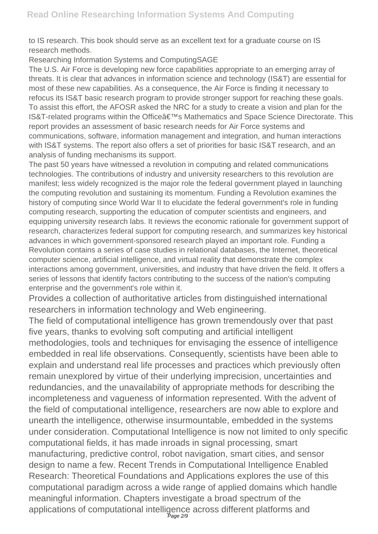to IS research. This book should serve as an excellent text for a graduate course on IS research methods.

Researching Information Systems and ComputingSAGE

The U.S. Air Force is developing new force capabilities appropriate to an emerging array of threats. It is clear that advances in information science and technology (IS&T) are essential for most of these new capabilities. As a consequence, the Air Force is finding it necessary to refocus its IS&T basic research program to provide stronger support for reaching these goals. To assist this effort, the AFOSR asked the NRC for a study to create a vision and plan for the IS&T-related programs within the Office a ∈™s Mathematics and Space Science Directorate. This report provides an assessment of basic research needs for Air Force systems and communications, software, information management and integration, and human interactions with IS&T systems. The report also offers a set of priorities for basic IS&T research, and an analysis of funding mechanisms its support.

The past 50 years have witnessed a revolution in computing and related communications technologies. The contributions of industry and university researchers to this revolution are manifest; less widely recognized is the major role the federal government played in launching the computing revolution and sustaining its momentum. Funding a Revolution examines the history of computing since World War II to elucidate the federal government's role in funding computing research, supporting the education of computer scientists and engineers, and equipping university research labs. It reviews the economic rationale for government support of research, characterizes federal support for computing research, and summarizes key historical advances in which government-sponsored research played an important role. Funding a Revolution contains a series of case studies in relational databases, the Internet, theoretical computer science, artificial intelligence, and virtual reality that demonstrate the complex interactions among government, universities, and industry that have driven the field. It offers a series of lessons that identify factors contributing to the success of the nation's computing enterprise and the government's role within it.

Provides a collection of authoritative articles from distinguished international researchers in information technology and Web engineering.

The field of computational intelligence has grown tremendously over that past five years, thanks to evolving soft computing and artificial intelligent methodologies, tools and techniques for envisaging the essence of intelligence embedded in real life observations. Consequently, scientists have been able to explain and understand real life processes and practices which previously often remain unexplored by virtue of their underlying imprecision, uncertainties and redundancies, and the unavailability of appropriate methods for describing the incompleteness and vagueness of information represented. With the advent of the field of computational intelligence, researchers are now able to explore and unearth the intelligence, otherwise insurmountable, embedded in the systems under consideration. Computational Intelligence is now not limited to only specific computational fields, it has made inroads in signal processing, smart manufacturing, predictive control, robot navigation, smart cities, and sensor design to name a few. Recent Trends in Computational Intelligence Enabled Research: Theoretical Foundations and Applications explores the use of this computational paradigm across a wide range of applied domains which handle meaningful information. Chapters investigate a broad spectrum of the applications of computational intelligence across different platforms and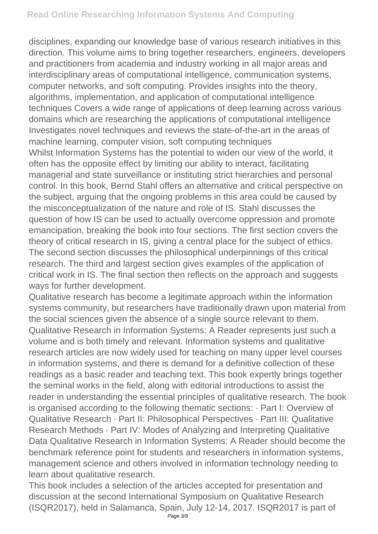disciplines, expanding our knowledge base of various research initiatives in this direction. This volume aims to bring together researchers, engineers, developers and practitioners from academia and industry working in all major areas and interdisciplinary areas of computational intelligence, communication systems, computer networks, and soft computing. Provides insights into the theory, algorithms, implementation, and application of computational intelligence techniques Covers a wide range of applications of deep learning across various domains which are researching the applications of computational intelligence Investigates novel techniques and reviews the state-of-the-art in the areas of machine learning, computer vision, soft computing techniques Whilst Information Systems has the potential to widen our view of the world, it often has the opposite effect by limiting our ability to interact, facilitating managerial and state surveillance or instituting strict hierarchies and personal control. In this book, Bernd Stahl offers an alternative and critical perspective on the subject, arguing that the ongoing problems in this area could be caused by the misconceptualization of the nature and role of IS. Stahl discusses the question of how IS can be used to actually overcome oppression and promote emancipation, breaking the book into four sections. The first section covers the theory of critical research in IS, giving a central place for the subject of ethics. The second section discusses the philosophical underpinnings of this critical research. The third and largest section gives examples of the application of critical work in IS. The final section then reflects on the approach and suggests ways for further development.

Qualitative research has become a legitimate approach within the information systems community, but researchers have traditionally drawn upon material from the social sciences given the absence of a single source relevant to them. Qualitative Research in Information Systems: A Reader represents just such a volume and is both timely and relevant. Information systems and qualitative research articles are now widely used for teaching on many upper level courses in information systems, and there is demand for a definitive collection of these readings as a basic reader and teaching text. This book expertly brings together the seminal works in the field, along with editorial introductions to assist the reader in understanding the essential principles of qualitative research. The book is organised according to the following thematic sections: · Part I: Overview of Qualitative Research · Part II: Philosophical Perspectives · Part III: Qualitative Research Methods · Part IV: Modes of Analyzing and Interpreting Qualitative Data Qualitative Research in Information Systems: A Reader should become the benchmark reference point for students and researchers in information systems, management science and others involved in information technology needing to learn about qualitative research.

This book includes a selection of the articles accepted for presentation and discussion at the second International Symposium on Qualitative Research (ISQR2017), held in Salamanca, Spain, July 12-14, 2017. ISQR2017 is part of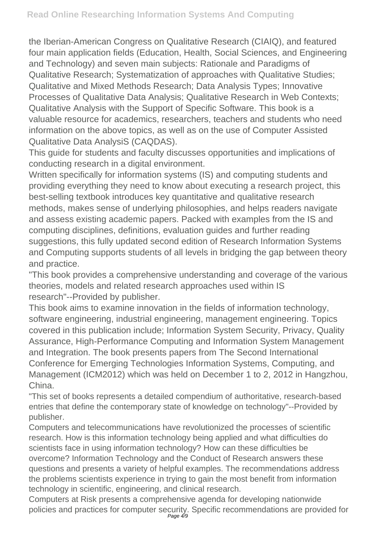the Iberian-American Congress on Qualitative Research (CIAIQ), and featured four main application fields (Education, Health, Social Sciences, and Engineering and Technology) and seven main subjects: Rationale and Paradigms of Qualitative Research; Systematization of approaches with Qualitative Studies; Qualitative and Mixed Methods Research; Data Analysis Types; Innovative Processes of Qualitative Data Analysis; Qualitative Research in Web Contexts; Qualitative Analysis with the Support of Specific Software. This book is a valuable resource for academics, researchers, teachers and students who need information on the above topics, as well as on the use of Computer Assisted Qualitative Data AnalysiS (CAQDAS).

This guide for students and faculty discusses opportunities and implications of conducting research in a digital environment.

Written specifically for information systems (IS) and computing students and providing everything they need to know about executing a research project, this best-selling textbook introduces key quantitative and qualitative research methods, makes sense of underlying philosophies, and helps readers navigate and assess existing academic papers. Packed with examples from the IS and computing disciplines, definitions, evaluation guides and further reading suggestions, this fully updated second edition of Research Information Systems and Computing supports students of all levels in bridging the gap between theory and practice.

"This book provides a comprehensive understanding and coverage of the various theories, models and related research approaches used within IS research"--Provided by publisher.

This book aims to examine innovation in the fields of information technology, software engineering, industrial engineering, management engineering. Topics covered in this publication include; Information System Security, Privacy, Quality Assurance, High-Performance Computing and Information System Management and Integration. The book presents papers from The Second International Conference for Emerging Technologies Information Systems, Computing, and Management (ICM2012) which was held on December 1 to 2, 2012 in Hangzhou, China.

"This set of books represents a detailed compendium of authoritative, research-based entries that define the contemporary state of knowledge on technology"--Provided by publisher.

Computers and telecommunications have revolutionized the processes of scientific research. How is this information technology being applied and what difficulties do scientists face in using information technology? How can these difficulties be overcome? Information Technology and the Conduct of Research answers these questions and presents a variety of helpful examples. The recommendations address the problems scientists experience in trying to gain the most benefit from information technology in scientific, engineering, and clinical research.

Computers at Risk presents a comprehensive agenda for developing nationwide policies and practices for computer security. Specific recommendations are provided for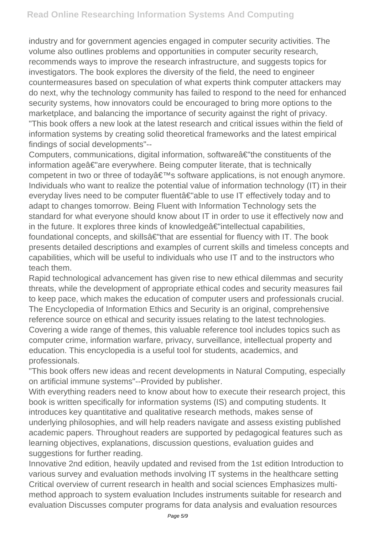industry and for government agencies engaged in computer security activities. The volume also outlines problems and opportunities in computer security research, recommends ways to improve the research infrastructure, and suggests topics for investigators. The book explores the diversity of the field, the need to engineer countermeasures based on speculation of what experts think computer attackers may do next, why the technology community has failed to respond to the need for enhanced security systems, how innovators could be encouraged to bring more options to the marketplace, and balancing the importance of security against the right of privacy. "This book offers a new look at the latest research and critical issues within the field of information systems by creating solid theoretical frameworks and the latest empirical findings of social developments"--

Computers, communications, digital information, softwareâ€"the constituents of the information ageâ€"are everywhere. Being computer literate, that is technically competent in two or three of today $\hat{a} \in T^M$ s software applications, is not enough anymore. Individuals who want to realize the potential value of information technology (IT) in their everyday lives need to be computer fluentâ€"able to use IT effectively today and to adapt to changes tomorrow. Being Fluent with Information Technology sets the standard for what everyone should know about IT in order to use it effectively now and in the future. It explores three kinds of knowledgeâ€"intellectual capabilities, foundational concepts, and skillsâ€"that are essential for fluency with IT. The book presents detailed descriptions and examples of current skills and timeless concepts and capabilities, which will be useful to individuals who use IT and to the instructors who teach them.

Rapid technological advancement has given rise to new ethical dilemmas and security threats, while the development of appropriate ethical codes and security measures fail to keep pace, which makes the education of computer users and professionals crucial. The Encyclopedia of Information Ethics and Security is an original, comprehensive reference source on ethical and security issues relating to the latest technologies. Covering a wide range of themes, this valuable reference tool includes topics such as computer crime, information warfare, privacy, surveillance, intellectual property and education. This encyclopedia is a useful tool for students, academics, and professionals.

"This book offers new ideas and recent developments in Natural Computing, especially on artificial immune systems"--Provided by publisher.

With everything readers need to know about how to execute their research project, this book is written specifically for information systems (IS) and computing students. It introduces key quantitative and qualitative research methods, makes sense of underlying philosophies, and will help readers navigate and assess existing published academic papers. Throughout readers are supported by pedagogical features such as learning objectives, explanations, discussion questions, evaluation guides and suggestions for further reading.

Innovative 2nd edition, heavily updated and revised from the 1st edition Introduction to various survey and evaluation methods involving IT systems in the healthcare setting Critical overview of current research in health and social sciences Emphasizes multimethod approach to system evaluation Includes instruments suitable for research and evaluation Discusses computer programs for data analysis and evaluation resources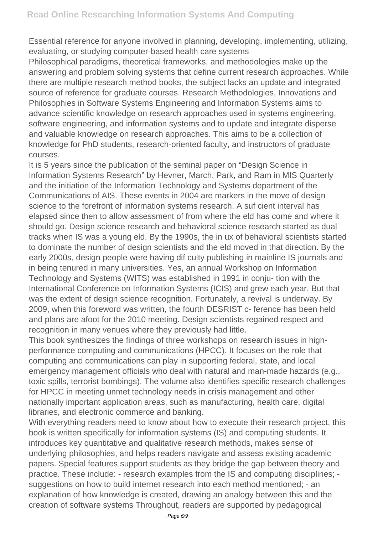Essential reference for anyone involved in planning, developing, implementing, utilizing, evaluating, or studying computer-based health care systems

Philosophical paradigms, theoretical frameworks, and methodologies make up the answering and problem solving systems that define current research approaches. While there are multiple research method books, the subject lacks an update and integrated source of reference for graduate courses. Research Methodologies, Innovations and Philosophies in Software Systems Engineering and Information Systems aims to advance scientific knowledge on research approaches used in systems engineering, software engineering, and information systems and to update and integrate disperse and valuable knowledge on research approaches. This aims to be a collection of knowledge for PhD students, research-oriented faculty, and instructors of graduate courses.

It is 5 years since the publication of the seminal paper on "Design Science in Information Systems Research" by Hevner, March, Park, and Ram in MIS Quarterly and the initiation of the Information Technology and Systems department of the Communications of AIS. These events in 2004 are markers in the move of design science to the forefront of information systems research. A suf cient interval has elapsed since then to allow assessment of from where the eld has come and where it should go. Design science research and behavioral science research started as dual tracks when IS was a young eld. By the 1990s, the in ux of behavioral scientists started to dominate the number of design scientists and the eld moved in that direction. By the early 2000s, design people were having dif culty publishing in mainline IS journals and in being tenured in many universities. Yes, an annual Workshop on Information Technology and Systems (WITS) was established in 1991 in conju- tion with the International Conference on Information Systems (ICIS) and grew each year. But that was the extent of design science recognition. Fortunately, a revival is underway. By 2009, when this foreword was written, the fourth DESRIST c- ference has been held and plans are afoot for the 2010 meeting. Design scientists regained respect and recognition in many venues where they previously had little.

This book synthesizes the findings of three workshops on research issues in highperformance computing and communications (HPCC). It focuses on the role that computing and communications can play in supporting federal, state, and local emergency management officials who deal with natural and man-made hazards (e.g., toxic spills, terrorist bombings). The volume also identifies specific research challenges for HPCC in meeting unmet technology needs in crisis management and other nationally important application areas, such as manufacturing, health care, digital libraries, and electronic commerce and banking.

With everything readers need to know about how to execute their research project, this book is written specifically for information systems (IS) and computing students. It introduces key quantitative and qualitative research methods, makes sense of underlying philosophies, and helps readers navigate and assess existing academic papers. Special features support students as they bridge the gap between theory and practice. These include: - research examples from the IS and computing disciplines; suggestions on how to build internet research into each method mentioned; - an explanation of how knowledge is created, drawing an analogy between this and the creation of software systems Throughout, readers are supported by pedagogical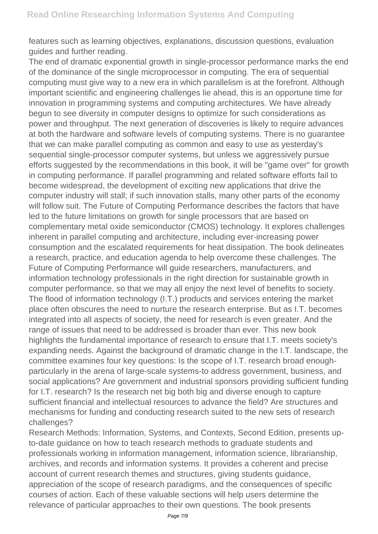features such as learning objectives, explanations, discussion questions, evaluation guides and further reading.

The end of dramatic exponential growth in single-processor performance marks the end of the dominance of the single microprocessor in computing. The era of sequential computing must give way to a new era in which parallelism is at the forefront. Although important scientific and engineering challenges lie ahead, this is an opportune time for innovation in programming systems and computing architectures. We have already begun to see diversity in computer designs to optimize for such considerations as power and throughput. The next generation of discoveries is likely to require advances at both the hardware and software levels of computing systems. There is no guarantee that we can make parallel computing as common and easy to use as yesterday's sequential single-processor computer systems, but unless we aggressively pursue efforts suggested by the recommendations in this book, it will be "game over" for growth in computing performance. If parallel programming and related software efforts fail to become widespread, the development of exciting new applications that drive the computer industry will stall; if such innovation stalls, many other parts of the economy will follow suit. The Future of Computing Performance describes the factors that have led to the future limitations on growth for single processors that are based on complementary metal oxide semiconductor (CMOS) technology. It explores challenges inherent in parallel computing and architecture, including ever-increasing power consumption and the escalated requirements for heat dissipation. The book delineates a research, practice, and education agenda to help overcome these challenges. The Future of Computing Performance will guide researchers, manufacturers, and information technology professionals in the right direction for sustainable growth in computer performance, so that we may all enjoy the next level of benefits to society. The flood of information technology (I.T.) products and services entering the market place often obscures the need to nurture the research enterprise. But as I.T. becomes integrated into all aspects of society, the need for research is even greater. And the range of issues that need to be addressed is broader than ever. This new book highlights the fundamental importance of research to ensure that I.T. meets society's expanding needs. Against the background of dramatic change in the I.T. landscape, the committee examines four key questions: Is the scope of I.T. research broad enoughparticularly in the arena of large-scale systems-to address government, business, and social applications? Are government and industrial sponsors providing sufficient funding for I.T. research? Is the research net big both big and diverse enough to capture sufficient financial and intellectual resources to advance the field? Are structures and mechanisms for funding and conducting research suited to the new sets of research challenges?

Research Methods: Information, Systems, and Contexts, Second Edition, presents upto-date guidance on how to teach research methods to graduate students and professionals working in information management, information science, librarianship, archives, and records and information systems. It provides a coherent and precise account of current research themes and structures, giving students guidance, appreciation of the scope of research paradigms, and the consequences of specific courses of action. Each of these valuable sections will help users determine the relevance of particular approaches to their own questions. The book presents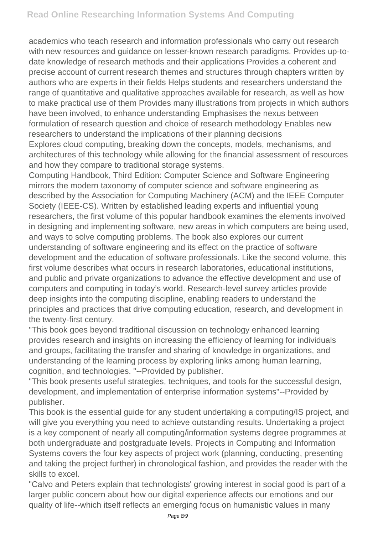academics who teach research and information professionals who carry out research with new resources and guidance on lesser-known research paradigms. Provides up-todate knowledge of research methods and their applications Provides a coherent and precise account of current research themes and structures through chapters written by authors who are experts in their fields Helps students and researchers understand the range of quantitative and qualitative approaches available for research, as well as how to make practical use of them Provides many illustrations from projects in which authors have been involved, to enhance understanding Emphasises the nexus between formulation of research question and choice of research methodology Enables new researchers to understand the implications of their planning decisions Explores cloud computing, breaking down the concepts, models, mechanisms, and architectures of this technology while allowing for the financial assessment of resources

and how they compare to traditional storage systems. Computing Handbook, Third Edition: Computer Science and Software Engineering mirrors the modern taxonomy of computer science and software engineering as described by the Association for Computing Machinery (ACM) and the IEEE Computer Society (IEEE-CS). Written by established leading experts and influential young researchers, the first volume of this popular handbook examines the elements involved in designing and implementing software, new areas in which computers are being used, and ways to solve computing problems. The book also explores our current understanding of software engineering and its effect on the practice of software development and the education of software professionals. Like the second volume, this first volume describes what occurs in research laboratories, educational institutions, and public and private organizations to advance the effective development and use of computers and computing in today's world. Research-level survey articles provide deep insights into the computing discipline, enabling readers to understand the principles and practices that drive computing education, research, and development in the twenty-first century.

"This book goes beyond traditional discussion on technology enhanced learning provides research and insights on increasing the efficiency of learning for individuals and groups, facilitating the transfer and sharing of knowledge in organizations, and understanding of the learning process by exploring links among human learning, cognition, and technologies. "--Provided by publisher.

"This book presents useful strategies, techniques, and tools for the successful design, development, and implementation of enterprise information systems"--Provided by publisher.

This book is the essential guide for any student undertaking a computing/IS project, and will give you everything you need to achieve outstanding results. Undertaking a project is a key component of nearly all computing/information systems degree programmes at both undergraduate and postgraduate levels. Projects in Computing and Information Systems covers the four key aspects of project work (planning, conducting, presenting and taking the project further) in chronological fashion, and provides the reader with the skills to excel.

"Calvo and Peters explain that technologists' growing interest in social good is part of a larger public concern about how our digital experience affects our emotions and our quality of life--which itself reflects an emerging focus on humanistic values in many